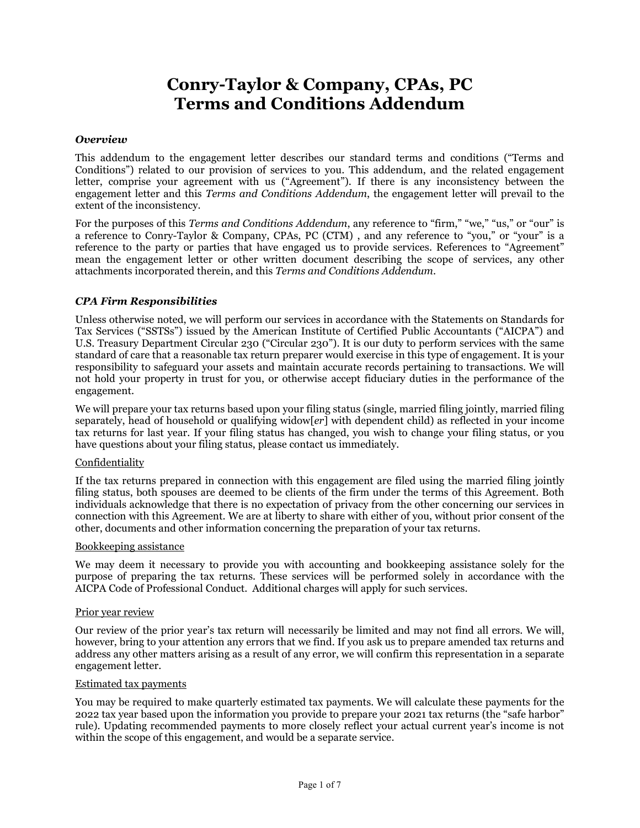# **Conry-Taylor & Company, CPAs, PC Terms and Conditions Addendum**

#### *Overview*

This addendum to the engagement letter describes our standard terms and conditions ("Terms and Conditions") related to our provision of services to you. This addendum, and the related engagement letter, comprise your agreement with us ("Agreement"). If there is any inconsistency between the engagement letter and this *Terms and Conditions Addendum*, the engagement letter will prevail to the extent of the inconsistency.

For the purposes of this *Terms and Conditions Addendum*, any reference to "firm," "we," "us," or "our" is a reference to Conry-Taylor & Company, CPAs, PC (CTM) , and any reference to "you," or "your" is a reference to the party or parties that have engaged us to provide services. References to "Agreement" mean the engagement letter or other written document describing the scope of services, any other attachments incorporated therein, and this *Terms and Conditions Addendum*.

## *CPA Firm Responsibilities*

Unless otherwise noted, we will perform our services in accordance with the Statements on Standards for Tax Services ("SSTSs") issued by the American Institute of Certified Public Accountants ("AICPA") and U.S. Treasury Department Circular 230 ("Circular 230"). It is our duty to perform services with the same standard of care that a reasonable tax return preparer would exercise in this type of engagement. It is your responsibility to safeguard your assets and maintain accurate records pertaining to transactions. We will not hold your property in trust for you, or otherwise accept fiduciary duties in the performance of the engagement.

We will prepare your tax returns based upon your filing status (single, married filing jointly, married filing separately, head of household or qualifying widow[*er*] with dependent child) as reflected in your income tax returns for last year. If your filing status has changed, you wish to change your filing status, or you have questions about your filing status, please contact us immediately.

## Confidentiality

If the tax returns prepared in connection with this engagement are filed using the married filing jointly filing status, both spouses are deemed to be clients of the firm under the terms of this Agreement. Both individuals acknowledge that there is no expectation of privacy from the other concerning our services in connection with this Agreement. We are at liberty to share with either of you, without prior consent of the other, documents and other information concerning the preparation of your tax returns.

# Bookkeeping assistance

We may deem it necessary to provide you with accounting and bookkeeping assistance solely for the purpose of preparing the tax returns. These services will be performed solely in accordance with the AICPA Code of Professional Conduct. Additional charges will apply for such services.

#### Prior year review

Our review of the prior year's tax return will necessarily be limited and may not find all errors. We will, however, bring to your attention any errors that we find. If you ask us to prepare amended tax returns and address any other matters arising as a result of any error, we will confirm this representation in a separate engagement letter.

#### Estimated tax payments

You may be required to make quarterly estimated tax payments. We will calculate these payments for the 2022 tax year based upon the information you provide to prepare your 2021 tax returns (the "safe harbor" rule). Updating recommended payments to more closely reflect your actual current year's income is not within the scope of this engagement, and would be a separate service.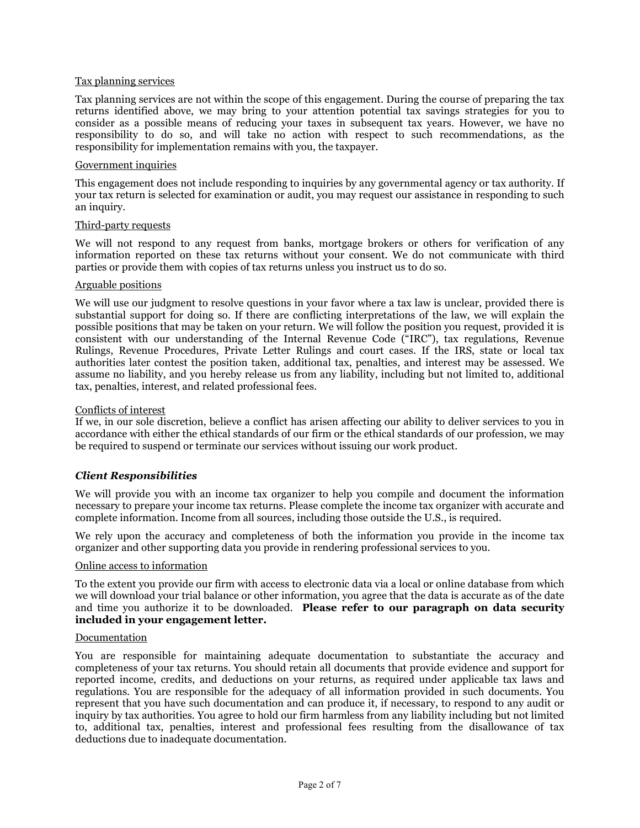#### Tax planning services

Tax planning services are not within the scope of this engagement. During the course of preparing the tax returns identified above, we may bring to your attention potential tax savings strategies for you to consider as a possible means of reducing your taxes in subsequent tax years. However, we have no responsibility to do so, and will take no action with respect to such recommendations, as the responsibility for implementation remains with you, the taxpayer.

#### Government inquiries

This engagement does not include responding to inquiries by any governmental agency or tax authority. If your tax return is selected for examination or audit, you may request our assistance in responding to such an inquiry.

#### Third-party requests

We will not respond to any request from banks, mortgage brokers or others for verification of any information reported on these tax returns without your consent. We do not communicate with third parties or provide them with copies of tax returns unless you instruct us to do so.

#### Arguable positions

We will use our judgment to resolve questions in your favor where a tax law is unclear, provided there is substantial support for doing so. If there are conflicting interpretations of the law, we will explain the possible positions that may be taken on your return. We will follow the position you request, provided it is consistent with our understanding of the Internal Revenue Code ("IRC"), tax regulations, Revenue Rulings, Revenue Procedures, Private Letter Rulings and court cases. If the IRS, state or local tax authorities later contest the position taken, additional tax, penalties, and interest may be assessed. We assume no liability, and you hereby release us from any liability, including but not limited to, additional tax, penalties, interest, and related professional fees.

#### Conflicts of interest

If we, in our sole discretion, believe a conflict has arisen affecting our ability to deliver services to you in accordance with either the ethical standards of our firm or the ethical standards of our profession, we may be required to suspend or terminate our services without issuing our work product.

## *Client Responsibilities*

We will provide you with an income tax organizer to help you compile and document the information necessary to prepare your income tax returns. Please complete the income tax organizer with accurate and complete information. Income from all sources, including those outside the U.S., is required.

We rely upon the accuracy and completeness of both the information you provide in the income tax organizer and other supporting data you provide in rendering professional services to you.

## Online access to information

To the extent you provide our firm with access to electronic data via a local or online database from which we will download your trial balance or other information, you agree that the data is accurate as of the date and time you authorize it to be downloaded. **Please refer to our paragraph on data security included in your engagement letter.**

#### Documentation

You are responsible for maintaining adequate documentation to substantiate the accuracy and completeness of your tax returns. You should retain all documents that provide evidence and support for reported income, credits, and deductions on your returns, as required under applicable tax laws and regulations. You are responsible for the adequacy of all information provided in such documents. You represent that you have such documentation and can produce it, if necessary, to respond to any audit or inquiry by tax authorities. You agree to hold our firm harmless from any liability including but not limited to, additional tax, penalties, interest and professional fees resulting from the disallowance of tax deductions due to inadequate documentation.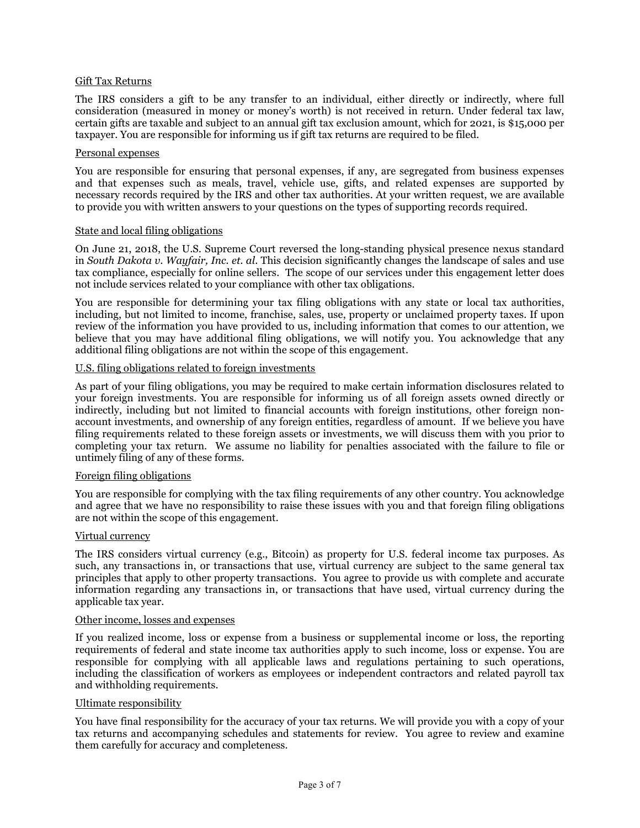## Gift Tax Returns

The IRS considers a gift to be any transfer to an individual, either directly or indirectly, where full consideration (measured in money or money's worth) is not received in return. Under federal tax law, certain gifts are taxable and subject to an annual gift tax exclusion amount, which for 2021, is \$15,000 per taxpayer. You are responsible for informing us if gift tax returns are required to be filed.

#### Personal expenses

You are responsible for ensuring that personal expenses, if any, are segregated from business expenses and that expenses such as meals, travel, vehicle use, gifts, and related expenses are supported by necessary records required by the IRS and other tax authorities. At your written request, we are available to provide you with written answers to your questions on the types of supporting records required.

#### State and local filing obligations

On June 21, 2018, the U.S. Supreme Court reversed the long-standing physical presence nexus standard in *South Dakota v. Wayfair, Inc. et. al*. This decision significantly changes the landscape of sales and use tax compliance, especially for online sellers. The scope of our services under this engagement letter does not include services related to your compliance with other tax obligations.

You are responsible for determining your tax filing obligations with any state or local tax authorities, including, but not limited to income, franchise, sales, use, property or unclaimed property taxes. If upon review of the information you have provided to us, including information that comes to our attention, we believe that you may have additional filing obligations, we will notify you. You acknowledge that any additional filing obligations are not within the scope of this engagement.

# U.S. filing obligations related to foreign investments

As part of your filing obligations, you may be required to make certain information disclosures related to your foreign investments. You are responsible for informing us of all foreign assets owned directly or indirectly, including but not limited to financial accounts with foreign institutions, other foreign nonaccount investments, and ownership of any foreign entities, regardless of amount. If we believe you have filing requirements related to these foreign assets or investments, we will discuss them with you prior to completing your tax return. We assume no liability for penalties associated with the failure to file or untimely filing of any of these forms.

#### Foreign filing obligations

You are responsible for complying with the tax filing requirements of any other country. You acknowledge and agree that we have no responsibility to raise these issues with you and that foreign filing obligations are not within the scope of this engagement.

### Virtual currency

The IRS considers virtual currency (e.g., Bitcoin) as property for U.S. federal income tax purposes. As such, any transactions in, or transactions that use, virtual currency are subject to the same general tax principles that apply to other property transactions. You agree to provide us with complete and accurate information regarding any transactions in, or transactions that have used, virtual currency during the applicable tax year.

#### Other income, losses and expenses

If you realized income, loss or expense from a business or supplemental income or loss, the reporting requirements of federal and state income tax authorities apply to such income, loss or expense. You are responsible for complying with all applicable laws and regulations pertaining to such operations, including the classification of workers as employees or independent contractors and related payroll tax and withholding requirements.

## Ultimate responsibility

You have final responsibility for the accuracy of your tax returns. We will provide you with a copy of your tax returns and accompanying schedules and statements for review. You agree to review and examine them carefully for accuracy and completeness.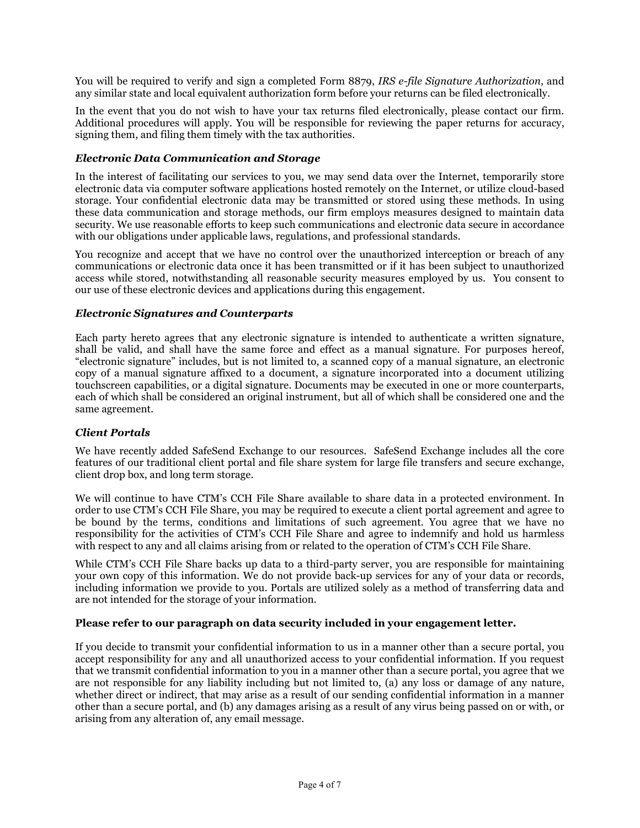You will be required to verify and sign a completed Form 8879, *IRS e-file Signature Authorization*, and any similar state and local equivalent authorization form before your returns can be filed electronically.

In the event that you do not wish to have your tax returns filed electronically, please contact our firm. Additional procedures will apply. You will be responsible for reviewing the paper returns for accuracy, signing them, and filing them timely with the tax authorities.

# *Electronic Data Communication and Storage*

In the interest of facilitating our services to you, we may send data over the Internet, temporarily store electronic data via computer software applications hosted remotely on the Internet, or utilize cloud-based storage. Your confidential electronic data may be transmitted or stored using these methods. In using these data communication and storage methods, our firm employs measures designed to maintain data security. We use reasonable efforts to keep such communications and electronic data secure in accordance with our obligations under applicable laws, regulations, and professional standards.

You recognize and accept that we have no control over the unauthorized interception or breach of any communications or electronic data once it has been transmitted or if it has been subject to unauthorized access while stored, notwithstanding all reasonable security measures employed by us. You consent to our use of these electronic devices and applications during this engagement.

# *Electronic Signatures and Counterparts*

Each party hereto agrees that any electronic signature is intended to authenticate a written signature, shall be valid, and shall have the same force and effect as a manual signature. For purposes hereof, "electronic signature" includes, but is not limited to, a scanned copy of a manual signature, an electronic copy of a manual signature affixed to a document, a signature incorporated into a document utilizing touchscreen capabilities, or a digital signature. Documents may be executed in one or more counterparts, each of which shall be considered an original instrument, but all of which shall be considered one and the same agreement.

## *Client Portals*

We have recently added SafeSend Exchange to our resources. SafeSend Exchange includes all the core features of our traditional client portal and file share system for large file transfers and secure exchange, client drop box, and long term storage.

We will continue to have CTM's CCH File Share available to share data in a protected environment. In order to use CTM's CCH File Share, you may be required to execute a client portal agreement and agree to be bound by the terms, conditions and limitations of such agreement. You agree that we have no responsibility for the activities of CTM's CCH File Share and agree to indemnify and hold us harmless with respect to any and all claims arising from or related to the operation of CTM's CCH File Share.

While CTM's CCH File Share backs up data to a third-party server, you are responsible for maintaining your own copy of this information. We do not provide back-up services for any of your data or records, including information we provide to you. Portals are utilized solely as a method of transferring data and are not intended for the storage of your information.

## **Please refer to our paragraph on data security included in your engagement letter.**

If you decide to transmit your confidential information to us in a manner other than a secure portal, you accept responsibility for any and all unauthorized access to your confidential information. If you request that we transmit confidential information to you in a manner other than a secure portal, you agree that we are not responsible for any liability including but not limited to, (a) any loss or damage of any nature, whether direct or indirect, that may arise as a result of our sending confidential information in a manner other than a secure portal, and (b) any damages arising as a result of any virus being passed on or with, or arising from any alteration of, any email message.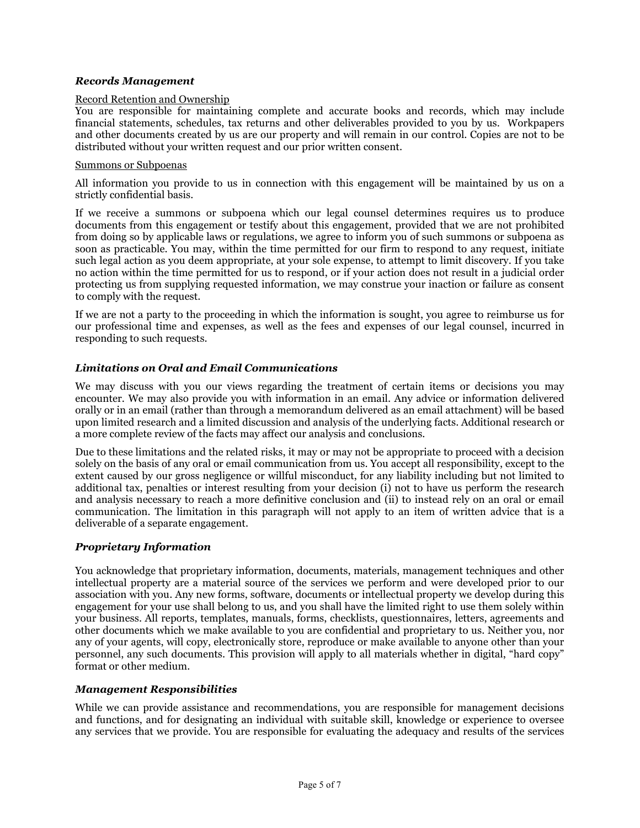# *Records Management*

#### Record Retention and Ownership

You are responsible for maintaining complete and accurate books and records, which may include financial statements, schedules, tax returns and other deliverables provided to you by us. Workpapers and other documents created by us are our property and will remain in our control. Copies are not to be distributed without your written request and our prior written consent.

#### Summons or Subpoenas

All information you provide to us in connection with this engagement will be maintained by us on a strictly confidential basis.

If we receive a summons or subpoena which our legal counsel determines requires us to produce documents from this engagement or testify about this engagement, provided that we are not prohibited from doing so by applicable laws or regulations, we agree to inform you of such summons or subpoena as soon as practicable. You may, within the time permitted for our firm to respond to any request, initiate such legal action as you deem appropriate, at your sole expense, to attempt to limit discovery. If you take no action within the time permitted for us to respond, or if your action does not result in a judicial order protecting us from supplying requested information, we may construe your inaction or failure as consent to comply with the request.

If we are not a party to the proceeding in which the information is sought, you agree to reimburse us for our professional time and expenses, as well as the fees and expenses of our legal counsel, incurred in responding to such requests.

# *Limitations on Oral and Email Communications*

We may discuss with you our views regarding the treatment of certain items or decisions you may encounter. We may also provide you with information in an email. Any advice or information delivered orally or in an email (rather than through a memorandum delivered as an email attachment) will be based upon limited research and a limited discussion and analysis of the underlying facts. Additional research or a more complete review of the facts may affect our analysis and conclusions.

Due to these limitations and the related risks, it may or may not be appropriate to proceed with a decision solely on the basis of any oral or email communication from us. You accept all responsibility, except to the extent caused by our gross negligence or willful misconduct, for any liability including but not limited to additional tax, penalties or interest resulting from your decision (i) not to have us perform the research and analysis necessary to reach a more definitive conclusion and (ii) to instead rely on an oral or email communication. The limitation in this paragraph will not apply to an item of written advice that is a deliverable of a separate engagement.

## *Proprietary Information*

You acknowledge that proprietary information, documents, materials, management techniques and other intellectual property are a material source of the services we perform and were developed prior to our association with you. Any new forms, software, documents or intellectual property we develop during this engagement for your use shall belong to us, and you shall have the limited right to use them solely within your business. All reports, templates, manuals, forms, checklists, questionnaires, letters, agreements and other documents which we make available to you are confidential and proprietary to us. Neither you, nor any of your agents, will copy, electronically store, reproduce or make available to anyone other than your personnel, any such documents. This provision will apply to all materials whether in digital, "hard copy" format or other medium.

## *Management Responsibilities*

While we can provide assistance and recommendations, you are responsible for management decisions and functions, and for designating an individual with suitable skill, knowledge or experience to oversee any services that we provide. You are responsible for evaluating the adequacy and results of the services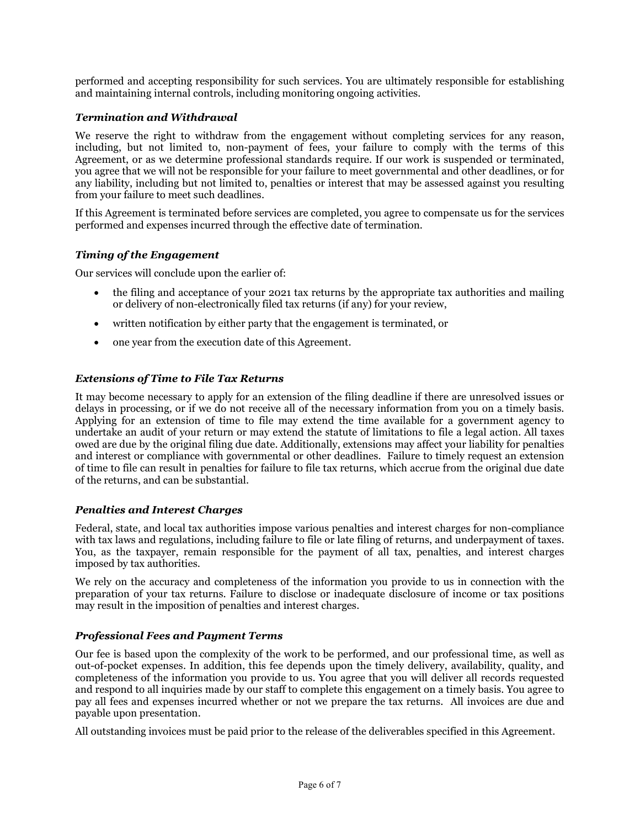performed and accepting responsibility for such services. You are ultimately responsible for establishing and maintaining internal controls, including monitoring ongoing activities.

# *Termination and Withdrawal*

We reserve the right to withdraw from the engagement without completing services for any reason, including, but not limited to, non-payment of fees, your failure to comply with the terms of this Agreement, or as we determine professional standards require. If our work is suspended or terminated, you agree that we will not be responsible for your failure to meet governmental and other deadlines, or for any liability, including but not limited to, penalties or interest that may be assessed against you resulting from your failure to meet such deadlines.

If this Agreement is terminated before services are completed, you agree to compensate us for the services performed and expenses incurred through the effective date of termination.

# *Timing of the Engagement*

Our services will conclude upon the earlier of:

- the filing and acceptance of your 2021 tax returns by the appropriate tax authorities and mailing or delivery of non-electronically filed tax returns (if any) for your review,
- written notification by either party that the engagement is terminated, or
- one year from the execution date of this Agreement.

# *Extensions of Time to File Tax Returns*

It may become necessary to apply for an extension of the filing deadline if there are unresolved issues or delays in processing, or if we do not receive all of the necessary information from you on a timely basis. Applying for an extension of time to file may extend the time available for a government agency to undertake an audit of your return or may extend the statute of limitations to file a legal action. All taxes owed are due by the original filing due date. Additionally, extensions may affect your liability for penalties and interest or compliance with governmental or other deadlines. Failure to timely request an extension of time to file can result in penalties for failure to file tax returns, which accrue from the original due date of the returns, and can be substantial.

## *Penalties and Interest Charges*

Federal, state, and local tax authorities impose various penalties and interest charges for non-compliance with tax laws and regulations, including failure to file or late filing of returns, and underpayment of taxes. You, as the taxpayer, remain responsible for the payment of all tax, penalties, and interest charges imposed by tax authorities.

We rely on the accuracy and completeness of the information you provide to us in connection with the preparation of your tax returns. Failure to disclose or inadequate disclosure of income or tax positions may result in the imposition of penalties and interest charges.

# *Professional Fees and Payment Terms*

Our fee is based upon the complexity of the work to be performed, and our professional time, as well as out-of-pocket expenses. In addition, this fee depends upon the timely delivery, availability, quality, and completeness of the information you provide to us. You agree that you will deliver all records requested and respond to all inquiries made by our staff to complete this engagement on a timely basis. You agree to pay all fees and expenses incurred whether or not we prepare the tax returns. All invoices are due and payable upon presentation.

All outstanding invoices must be paid prior to the release of the deliverables specified in this Agreement.